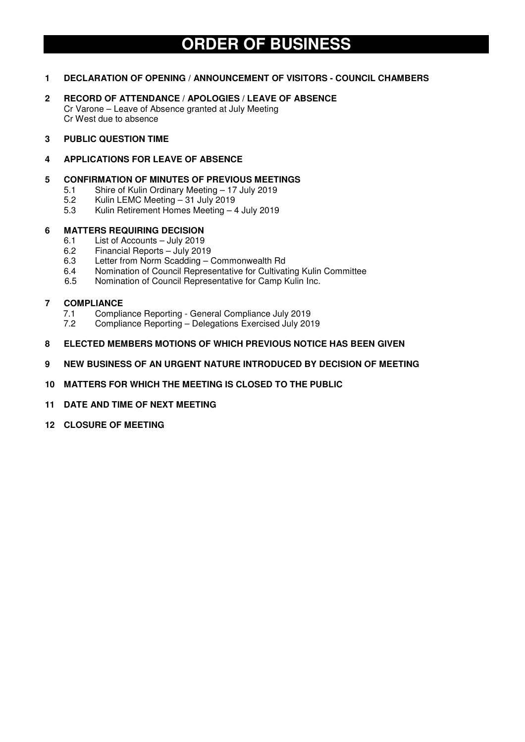# **ORDER OF BUSINESS**

# **1 DECLARATION OF OPENING / ANNOUNCEMENT OF VISITORS - COUNCIL CHAMBERS**

- **2 RECORD OF ATTENDANCE / APOLOGIES / LEAVE OF ABSENCE**  Cr Varone – Leave of Absence granted at July Meeting Cr West due to absence
- **3 PUBLIC QUESTION TIME**

## **4 APPLICATIONS FOR LEAVE OF ABSENCE**

## **5 CONFIRMATION OF MINUTES OF PREVIOUS MEETINGS**

- 5.1 Shire of Kulin Ordinary Meeting 17 July 2019
- 5.2 Kulin LEMC Meeting 31 July 2019
- 5.3 Kulin Retirement Homes Meeting 4 July 2019

## **6 MATTERS REQUIRING DECISION**

- 6.1 List of Accounts July 2019
- 6.2 Financial Reports July 2019
- 6.3 Letter from Norm Scadding Commonwealth Rd
- 6.4 Nomination of Council Representative for Cultivating Kulin Committee
- 6.5 Nomination of Council Representative for Camp Kulin Inc.

### **7 COMPLIANCE**

- 7.1 Compliance Reporting General Compliance July 2019<br>7.2 Compliance Reporting Delegations Exercised July 201
- 7.2 Compliance Reporting Delegations Exercised July 2019
- **8 ELECTED MEMBERS MOTIONS OF WHICH PREVIOUS NOTICE HAS BEEN GIVEN**
- **9 NEW BUSINESS OF AN URGENT NATURE INTRODUCED BY DECISION OF MEETING**
- **10 MATTERS FOR WHICH THE MEETING IS CLOSED TO THE PUBLIC**
- **11 DATE AND TIME OF NEXT MEETING**
- **12 CLOSURE OF MEETING**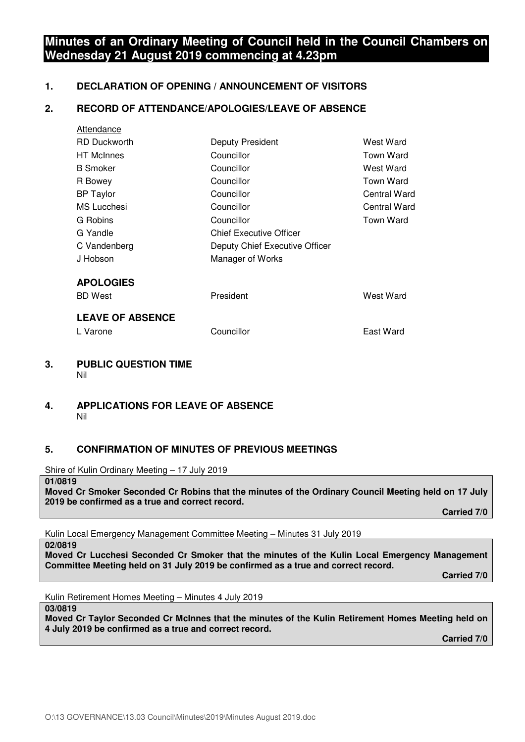# **Minutes of an Ordinary Meeting of Council held in the Council Chambers on Wednesday 21 August 2019 commencing at 4.23pm**

# **1. DECLARATION OF OPENING / ANNOUNCEMENT OF VISITORS**

# **2. RECORD OF ATTENDANCE/APOLOGIES/LEAVE OF ABSENCE**

| Attendance              |                                |                  |
|-------------------------|--------------------------------|------------------|
| <b>RD Duckworth</b>     | Deputy President               | West Ward        |
| <b>HT</b> McInnes       | Councillor                     | Town Ward        |
| <b>B</b> Smoker         | Councillor                     | West Ward        |
| R Bowey                 | Councillor                     | Town Ward        |
| <b>BP</b> Taylor        | Councillor                     | Central Ward     |
| <b>MS Lucchesi</b>      | Councillor                     | Central Ward     |
| G Robins                | Councillor                     | <b>Town Ward</b> |
| G Yandle                | <b>Chief Executive Officer</b> |                  |
| C Vandenberg            | Deputy Chief Executive Officer |                  |
| J Hobson                | Manager of Works               |                  |
| <b>APOLOGIES</b>        |                                |                  |
| <b>BD</b> West          | President                      | West Ward        |
| <b>LEAVE OF ABSENCE</b> |                                |                  |
| L Varone                | Councillor                     | East Ward        |
|                         |                                |                  |

## **3. PUBLIC QUESTION TIME**  Nil

## **4. APPLICATIONS FOR LEAVE OF ABSENCE**  Nil

# **5. CONFIRMATION OF MINUTES OF PREVIOUS MEETINGS**

Shire of Kulin Ordinary Meeting – 17 July 2019

# **01/0819**

**Moved Cr Smoker Seconded Cr Robins that the minutes of the Ordinary Council Meeting held on 17 July 2019 be confirmed as a true and correct record.** 

 **Carried 7/0** 

Kulin Local Emergency Management Committee Meeting – Minutes 31 July 2019

#### **02/0819**

**Moved Cr Lucchesi Seconded Cr Smoker that the minutes of the Kulin Local Emergency Management Committee Meeting held on 31 July 2019 be confirmed as a true and correct record.** 

 **Carried 7/0** 

Kulin Retirement Homes Meeting – Minutes 4 July 2019

#### **03/0819**

**Moved Cr Taylor Seconded Cr McInnes that the minutes of the Kulin Retirement Homes Meeting held on 4 July 2019 be confirmed as a true and correct record.**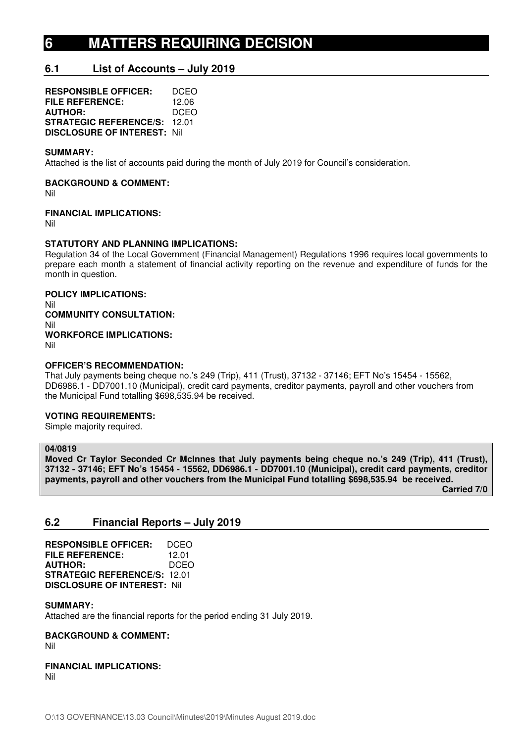# **6 MATTERS REQUIRING DECISION**

# **6.1 List of Accounts – July 2019**

**RESPONSIBLE OFFICER:** DCEO **FILE REFERENCE:** 12.06<br>**AUTHOR:** DCEO **AUTHOR: STRATEGIC REFERENCE/S:** 12.01 **DISCLOSURE OF INTEREST:** Nil

#### **SUMMARY:**

Attached is the list of accounts paid during the month of July 2019 for Council's consideration.

### **BACKGROUND & COMMENT:**

Nil

#### **FINANCIAL IMPLICATIONS:**

Nil

### **STATUTORY AND PLANNING IMPLICATIONS:**

Regulation 34 of the Local Government (Financial Management) Regulations 1996 requires local governments to prepare each month a statement of financial activity reporting on the revenue and expenditure of funds for the month in question.

**POLICY IMPLICATIONS:**  Nil **COMMUNITY CONSULTATION:**  Nil **WORKFORCE IMPLICATIONS:**  Nil

#### **OFFICER'S RECOMMENDATION:**

That July payments being cheque no.'s 249 (Trip), 411 (Trust), 37132 - 37146; EFT No's 15454 - 15562, DD6986.1 - DD7001.10 (Municipal), credit card payments, creditor payments, payroll and other vouchers from the Municipal Fund totalling \$698,535.94 be received.

#### **VOTING REQUIREMENTS:**

Simple majority required.

## **04/0819**

**Moved Cr Taylor Seconded Cr McInnes that July payments being cheque no.'s 249 (Trip), 411 (Trust), 37132 - 37146; EFT No's 15454 - 15562, DD6986.1 - DD7001.10 (Municipal), credit card payments, creditor payments, payroll and other vouchers from the Municipal Fund totalling \$698,535.94 be received.** 

 **Carried 7/0** 

# **6.2 Financial Reports – July 2019**

**RESPONSIBLE OFFICER:** DCEO **FILE REFERENCE:** 12.01 **AUTHOR:** DCEO **STRATEGIC REFERENCE/S:** 12.01 **DISCLOSURE OF INTEREST:** Nil

#### **SUMMARY:**

Attached are the financial reports for the period ending 31 July 2019.

#### **BACKGROUND & COMMENT:**

Nil

# **FINANCIAL IMPLICATIONS:**

Nil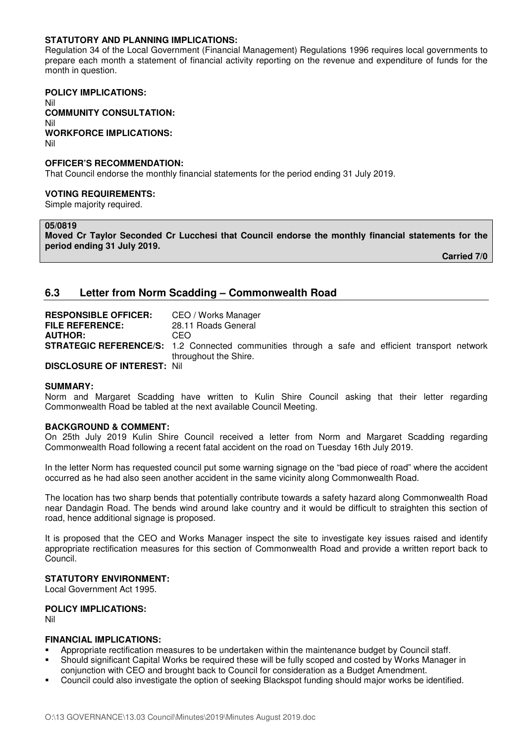### **STATUTORY AND PLANNING IMPLICATIONS:**

Regulation 34 of the Local Government (Financial Management) Regulations 1996 requires local governments to prepare each month a statement of financial activity reporting on the revenue and expenditure of funds for the month in question.

**POLICY IMPLICATIONS:**  Nil **COMMUNITY CONSULTATION:**  Nil **WORKFORCE IMPLICATIONS:**  Nil

#### **OFFICER'S RECOMMENDATION:**

That Council endorse the monthly financial statements for the period ending 31 July 2019.

#### **VOTING REQUIREMENTS:**

Simple majority required.

#### **05/0819**

**Moved Cr Taylor Seconded Cr Lucchesi that Council endorse the monthly financial statements for the period ending 31 July 2019.** 

 **Carried 7/0** 

# **6.3 Letter from Norm Scadding – Commonwealth Road**

| <b>RESPONSIBLE OFFICER:</b>        | CEO / Works Manager                                                                                    |
|------------------------------------|--------------------------------------------------------------------------------------------------------|
| <b>FILE REFERENCE:</b>             | 28.11 Roads General                                                                                    |
| <b>AUTHOR:</b>                     | CEO                                                                                                    |
|                                    | <b>STRATEGIC REFERENCE/S:</b> 1.2 Connected communities through a safe and efficient transport network |
|                                    | throughout the Shire.                                                                                  |
| <b>DISCLOSURE OF INTEREST: Nil</b> |                                                                                                        |

#### **SUMMARY:**

Norm and Margaret Scadding have written to Kulin Shire Council asking that their letter regarding Commonwealth Road be tabled at the next available Council Meeting.

#### **BACKGROUND & COMMENT:**

On 25th July 2019 Kulin Shire Council received a letter from Norm and Margaret Scadding regarding Commonwealth Road following a recent fatal accident on the road on Tuesday 16th July 2019.

In the letter Norm has requested council put some warning signage on the "bad piece of road" where the accident occurred as he had also seen another accident in the same vicinity along Commonwealth Road.

The location has two sharp bends that potentially contribute towards a safety hazard along Commonwealth Road near Dandagin Road. The bends wind around lake country and it would be difficult to straighten this section of road, hence additional signage is proposed.

It is proposed that the CEO and Works Manager inspect the site to investigate key issues raised and identify appropriate rectification measures for this section of Commonwealth Road and provide a written report back to Council.

#### **STATUTORY ENVIRONMENT:**

Local Government Act 1995.

# **POLICY IMPLICATIONS:**

Nil

#### **FINANCIAL IMPLICATIONS:**

- Appropriate rectification measures to be undertaken within the maintenance budget by Council staff.
- Should significant Capital Works be required these will be fully scoped and costed by Works Manager in conjunction with CEO and brought back to Council for consideration as a Budget Amendment.
- Council could also investigate the option of seeking Blackspot funding should major works be identified.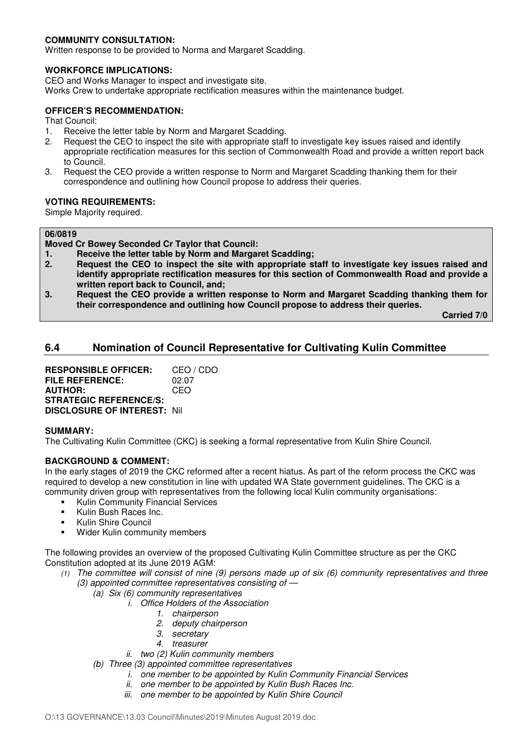# **COMMUNITY CONSULTATION:**

Written response to be provided to Norma and Margaret Scadding.

# **WORKFORCE IMPLICATIONS:**

CEO and Works Manager to inspect and investigate site.

Works Crew to undertake appropriate rectification measures within the maintenance budget.

# **OFFICER'S RECOMMENDATION:**

That Council:

- 1. Receive the letter table by Norm and Margaret Scadding.
- 2. Request the CEO to inspect the site with appropriate staff to investigate key issues raised and identify appropriate rectification measures for this section of Commonwealth Road and provide a written report back to Council.
- 3. Request the CEO provide a written response to Norm and Margaret Scadding thanking them for their correspondence and outlining how Council propose to address their queries.

### **VOTING REQUIREMENTS:**

Simple Majority required.

#### **06/0819**

- **Moved Cr Bowey Seconded Cr Taylor that Council:**
- **1. Receive the letter table by Norm and Margaret Scadding;**
- **2. Request the CEO to inspect the site with appropriate staff to investigate key issues raised and identify appropriate rectification measures for this section of Commonwealth Road and provide a written report back to Council, and;**
- **3. Request the CEO provide a written response to Norm and Margaret Scadding thanking them for their correspondence and outlining how Council propose to address their queries.**

 **Carried 7/0** 

# **6.4 Nomination of Council Representative for Cultivating Kulin Committee**

**RESPONSIBLE OFFICER:** CEO / CDO **FILE REFERENCE:** 02.07 **AUTHOR:** CEO **STRATEGIC REFERENCE/S: DISCLOSURE OF INTEREST:** Nil

#### **SUMMARY:**

The Cultivating Kulin Committee (CKC) is seeking a formal representative from Kulin Shire Council.

# **BACKGROUND & COMMENT:**

In the early stages of 2019 the CKC reformed after a recent hiatus. As part of the reform process the CKC was required to develop a new constitution in line with updated WA State government guidelines. The CKC is a community driven group with representatives from the following local Kulin community organisations:

- Kulin Community Financial Services
- Kulin Bush Races Inc.
- Kulin Shire Council
- Wider Kulin community members

The following provides an overview of the proposed Cultivating Kulin Committee structure as per the CKC Constitution adopted at its June 2019 AGM:

- *(1) The committee will consist of nine (9) persons made up of six (6) community representatives and three (3) appointed committee representatives consisting of —*
	- *(a) Six (6) community representatives* 
		- *i. Office Holders of the Association* 
			- *1. chairperson* 
				- *2. deputy chairperson*
				- *3. secretary*
				- *4. treasurer*
		- *ii. two (2) Kulin community members*
	- *(b) Three (3) appointed committee representatives* 
		- *i. one member to be appointed by Kulin Community Financial Services* 
			- *ii. one member to be appointed by Kulin Bush Races Inc.*
			- *iii. one member to be appointed by Kulin Shire Council*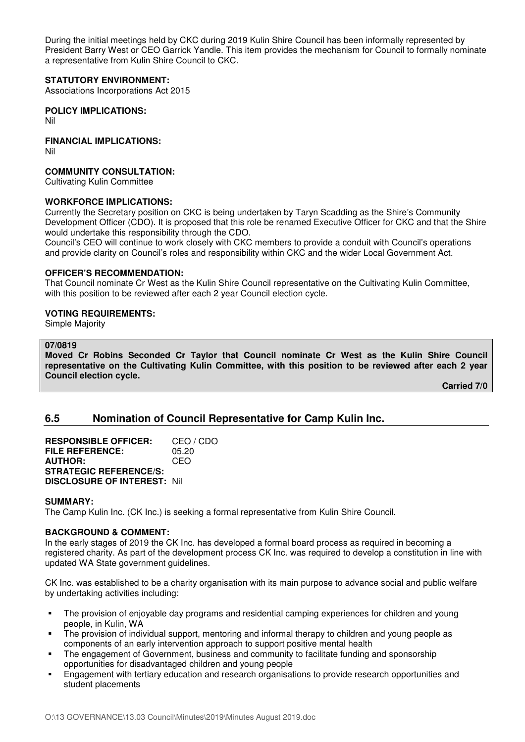During the initial meetings held by CKC during 2019 Kulin Shire Council has been informally represented by President Barry West or CEO Garrick Yandle. This item provides the mechanism for Council to formally nominate a representative from Kulin Shire Council to CKC.

## **STATUTORY ENVIRONMENT:**

Associations Incorporations Act 2015

**POLICY IMPLICATIONS:**  Nil

### **FINANCIAL IMPLICATIONS:**

Nil

## **COMMUNITY CONSULTATION:**

Cultivating Kulin Committee

### **WORKFORCE IMPLICATIONS:**

Currently the Secretary position on CKC is being undertaken by Taryn Scadding as the Shire's Community Development Officer (CDO). It is proposed that this role be renamed Executive Officer for CKC and that the Shire would undertake this responsibility through the CDO.

Council's CEO will continue to work closely with CKC members to provide a conduit with Council's operations and provide clarity on Council's roles and responsibility within CKC and the wider Local Government Act.

#### **OFFICER'S RECOMMENDATION:**

That Council nominate Cr West as the Kulin Shire Council representative on the Cultivating Kulin Committee, with this position to be reviewed after each 2 year Council election cycle.

#### **VOTING REQUIREMENTS:**

Simple Majority

#### **07/0819**

**Moved Cr Robins Seconded Cr Taylor that Council nominate Cr West as the Kulin Shire Council representative on the Cultivating Kulin Committee, with this position to be reviewed after each 2 year Council election cycle.** 

 **Carried 7/0** 

# **6.5 Nomination of Council Representative for Camp Kulin Inc.**

**RESPONSIBLE OFFICER:** CEO / CDO **FILE REFERENCE:** 05.20 **AUTHOR:** CEO **STRATEGIC REFERENCE/S: DISCLOSURE OF INTEREST:** Nil

#### **SUMMARY:**

The Camp Kulin Inc. (CK Inc.) is seeking a formal representative from Kulin Shire Council.

# **BACKGROUND & COMMENT:**

In the early stages of 2019 the CK Inc. has developed a formal board process as required in becoming a registered charity. As part of the development process CK Inc. was required to develop a constitution in line with updated WA State government guidelines.

CK Inc. was established to be a charity organisation with its main purpose to advance social and public welfare by undertaking activities including:

- The provision of enjoyable day programs and residential camping experiences for children and young people, in Kulin, WA
- The provision of individual support, mentoring and informal therapy to children and young people as components of an early intervention approach to support positive mental health
- The engagement of Government, business and community to facilitate funding and sponsorship opportunities for disadvantaged children and young people
- Engagement with tertiary education and research organisations to provide research opportunities and student placements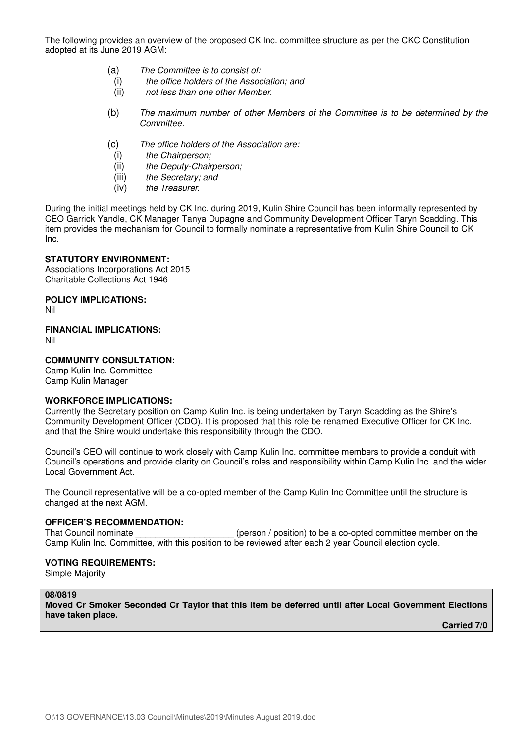The following provides an overview of the proposed CK Inc. committee structure as per the CKC Constitution adopted at its June 2019 AGM:

- (a) *The Committee is to consist of:* 
	- (i) *the office holders of the Association; and*
	- (ii) *not less than one other Member.*
- (b) *The maximum number of other Members of the Committee is to be determined by the Committee.*
- (c) *The office holders of the Association are:* 
	- (i) *the Chairperson;*
	- (ii) *the Deputy-Chairperson;*
	- (iii) *the Secretary; and*
	- (iv) *the Treasurer.*

During the initial meetings held by CK Inc. during 2019, Kulin Shire Council has been informally represented by CEO Garrick Yandle, CK Manager Tanya Dupagne and Community Development Officer Taryn Scadding. This item provides the mechanism for Council to formally nominate a representative from Kulin Shire Council to CK Inc.

### **STATUTORY ENVIRONMENT:**

Associations Incorporations Act 2015 Charitable Collections Act 1946

### **POLICY IMPLICATIONS:**

Nil

**FINANCIAL IMPLICATIONS:** 

Nil

### **COMMUNITY CONSULTATION:**

Camp Kulin Inc. Committee Camp Kulin Manager

#### **WORKFORCE IMPLICATIONS:**

Currently the Secretary position on Camp Kulin Inc. is being undertaken by Taryn Scadding as the Shire's Community Development Officer (CDO). It is proposed that this role be renamed Executive Officer for CK Inc. and that the Shire would undertake this responsibility through the CDO.

Council's CEO will continue to work closely with Camp Kulin Inc. committee members to provide a conduit with Council's operations and provide clarity on Council's roles and responsibility within Camp Kulin Inc. and the wider Local Government Act.

The Council representative will be a co-opted member of the Camp Kulin Inc Committee until the structure is changed at the next AGM.

#### **OFFICER'S RECOMMENDATION:**

That Council nominate \_\_\_\_\_\_\_\_\_\_\_\_\_\_\_\_\_\_\_\_\_\_\_(person / position) to be a co-opted committee member on the Camp Kulin Inc. Committee, with this position to be reviewed after each 2 year Council election cycle.

### **VOTING REQUIREMENTS:**

Simple Majority

#### **08/0819**

**Moved Cr Smoker Seconded Cr Taylor that this item be deferred until after Local Government Elections have taken place.**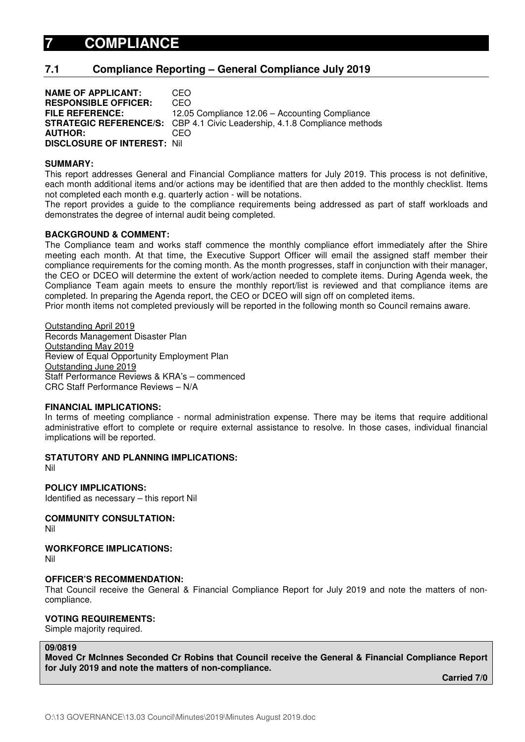# **7.1 Compliance Reporting – General Compliance July 2019**

**NAME OF APPLICANT:** CEO **RESPONSIBLE OFFICER:** CEO **FILE REFERENCE:** 12.05 Compliance 12.06 – Accounting Compliance **STRATEGIC REFERENCE/S:** CBP 4.1 Civic Leadership, 4.1.8 Compliance methods **AUTHOR:** CEO **DISCLOSURE OF INTEREST:** Nil

#### **SUMMARY:**

This report addresses General and Financial Compliance matters for July 2019. This process is not definitive, each month additional items and/or actions may be identified that are then added to the monthly checklist. Items not completed each month e.g. quarterly action - will be notations.

The report provides a guide to the compliance requirements being addressed as part of staff workloads and demonstrates the degree of internal audit being completed.

### **BACKGROUND & COMMENT:**

The Compliance team and works staff commence the monthly compliance effort immediately after the Shire meeting each month. At that time, the Executive Support Officer will email the assigned staff member their compliance requirements for the coming month. As the month progresses, staff in conjunction with their manager, the CEO or DCEO will determine the extent of work/action needed to complete items. During Agenda week, the Compliance Team again meets to ensure the monthly report/list is reviewed and that compliance items are completed. In preparing the Agenda report, the CEO or DCEO will sign off on completed items.

Prior month items not completed previously will be reported in the following month so Council remains aware.

Outstanding April 2019 Records Management Disaster Plan Outstanding May 2019 Review of Equal Opportunity Employment Plan Outstanding June 2019 Staff Performance Reviews & KRA's – commenced CRC Staff Performance Reviews – N/A

# **FINANCIAL IMPLICATIONS:**

In terms of meeting compliance - normal administration expense. There may be items that require additional administrative effort to complete or require external assistance to resolve. In those cases, individual financial implications will be reported.

#### **STATUTORY AND PLANNING IMPLICATIONS:**

Nil

**POLICY IMPLICATIONS:** 

Identified as necessary – this report Nil

**COMMUNITY CONSULTATION:**  Nil

**WORKFORCE IMPLICATIONS:**  Nil

# **OFFICER'S RECOMMENDATION:**

That Council receive the General & Financial Compliance Report for July 2019 and note the matters of noncompliance.

# **VOTING REQUIREMENTS:**

Simple majority required.

#### **09/0819**

**Moved Cr McInnes Seconded Cr Robins that Council receive the General & Financial Compliance Report for July 2019 and note the matters of non-compliance.**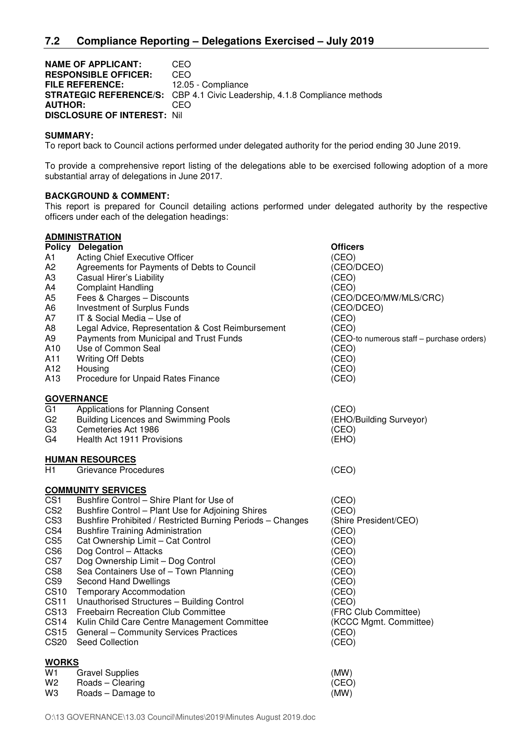#### **NAME OF APPLICANT: CEO<br>
RESPONSIBLE OFFICER: CEO RESPONSIBLE OFFICER:**<br>FILE REFERENCE: 12.05 - Compliance **STRATEGIC REFERENCE/S:** CBP 4.1 Civic Leadership, 4.1.8 Compliance methods **AUTHOR:** CEO **DISCLOSURE OF INTEREST:** Nil

#### **SUMMARY:**

To report back to Council actions performed under delegated authority for the period ending 30 June 2019.

To provide a comprehensive report listing of the delegations able to be exercised following adoption of a more substantial array of delegations in June 2017.

### **BACKGROUND & COMMENT:**

This report is prepared for Council detailing actions performed under delegated authority by the respective officers under each of the delegation headings:

# **ADMINISTRATION**

|                 | <b>Policy Delegation</b>                                   | <b>Officers</b>                           |
|-----------------|------------------------------------------------------------|-------------------------------------------|
| A1              | Acting Chief Executive Officer                             | (CEO)                                     |
| A <sub>2</sub>  | Agreements for Payments of Debts to Council                | (CEO/DCEO)                                |
| A3              | Casual Hirer's Liability                                   | (CEO)                                     |
| A4              | <b>Complaint Handling</b>                                  | (CEO)                                     |
| A5              | Fees & Charges - Discounts                                 | (CEO/DCEO/MW/MLS/CRC)                     |
| A6              | Investment of Surplus Funds                                | (CEO/DCEO)                                |
| Α7              | IT & Social Media - Use of                                 | (CEO)                                     |
| A8              | Legal Advice, Representation & Cost Reimbursement          | (CEO)                                     |
| Α9              | Payments from Municipal and Trust Funds                    | (CEO-to numerous staff - purchase orders) |
| A10             | Use of Common Seal                                         | (CEO)                                     |
| A11             | <b>Writing Off Debts</b>                                   | (CEO)                                     |
| A12             | Housing                                                    | (CEO)                                     |
| A13             | Procedure for Unpaid Rates Finance                         | (CEO)                                     |
|                 | <b>GOVERNANCE</b>                                          |                                           |
| G1              | Applications for Planning Consent                          | (CEO)                                     |
| G <sub>2</sub>  | <b>Building Licences and Swimming Pools</b>                | (EHO/Building Surveyor)                   |
| G3              | Cemeteries Act 1986                                        | (CEO)                                     |
| G4              | Health Act 1911 Provisions                                 | (EHO)                                     |
|                 | <b>HUMAN RESOURCES</b>                                     |                                           |
| Η1              | Grievance Procedures                                       | (CEO)                                     |
|                 | <b>COMMUNITY SERVICES</b>                                  |                                           |
| CS <sub>1</sub> | Bushfire Control - Shire Plant for Use of                  | (CEO)                                     |
| CS <sub>2</sub> | Bushfire Control - Plant Use for Adjoining Shires          | (CEO)                                     |
| CS <sub>3</sub> | Bushfire Prohibited / Restricted Burning Periods - Changes | (Shire President/CEO)                     |
| CS4             | <b>Bushfire Training Administration</b>                    | (CEO)                                     |
| CS <sub>5</sub> | Cat Ownership Limit - Cat Control                          | (CEO)                                     |
| CS <sub>6</sub> | Dog Control - Attacks                                      | (CEO)                                     |
| CS7             | Dog Ownership Limit - Dog Control                          | (CEO)                                     |
| CS8             | Sea Containers Use of - Town Planning                      | (CEO)                                     |
| CS <sub>9</sub> | Second Hand Dwellings                                      | (CEO)                                     |
| <b>CS10</b>     | <b>Temporary Accommodation</b>                             | (CEO)                                     |
| <b>CS11</b>     | Unauthorised Structures - Building Control                 | (CEO)                                     |
| <b>CS13</b>     | <b>Freebairn Recreation Club Committee</b>                 | (FRC Club Committee)                      |
| <b>CS14</b>     | Kulin Child Care Centre Management Committee               | (KCCC Mgmt. Committee)                    |
| <b>CS15</b>     | General - Community Services Practices                     | (CEO)                                     |
| <b>CS20</b>     | Seed Collection                                            | (CEO)                                     |
| <b>WORKS</b>    |                                                            |                                           |
| W1              | <b>Gravel Supplies</b>                                     | (MW)                                      |
| W <sub>2</sub>  | Roads - Clearing                                           | (CEO)                                     |
| WЗ              | Roads - Damage to                                          | (MW)                                      |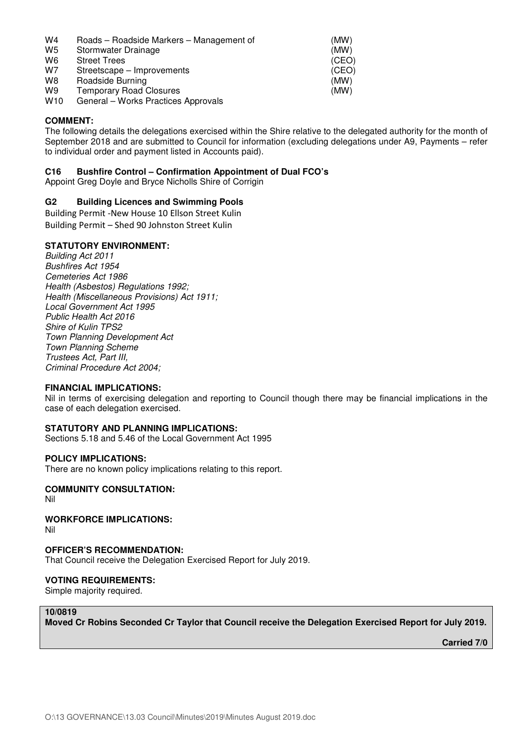| W4              | Roads - Roadside Markers - Management of | (MW)  |
|-----------------|------------------------------------------|-------|
| W <sub>5</sub>  | Stormwater Drainage                      | (MW)  |
| W6              | <b>Street Trees</b>                      | (CEO) |
| W7              | Streetscape – Improvements               | (CEO) |
| W8              | Roadside Burning                         | (MW)  |
| W9              | <b>Temporary Road Closures</b>           | (MW)  |
| W <sub>10</sub> | General - Works Practices Approvals      |       |

### **COMMENT:**

The following details the delegations exercised within the Shire relative to the delegated authority for the month of September 2018 and are submitted to Council for information (excluding delegations under A9, Payments – refer to individual order and payment listed in Accounts paid).

### **C16 Bushfire Control – Confirmation Appointment of Dual FCO's**

Appoint Greg Doyle and Bryce Nicholls Shire of Corrigin

### **G2 Building Licences and Swimming Pools**

Building Permit -New House 10 Ellson Street Kulin Building Permit – Shed 90 Johnston Street Kulin

#### **STATUTORY ENVIRONMENT:**

*Building Act 2011 Bushfires Act 1954 Cemeteries Act 1986 Health (Asbestos) Regulations 1992; Health (Miscellaneous Provisions) Act 1911; Local Government Act 1995 Public Health Act 2016 Shire of Kulin TPS2 Town Planning Development Act Town Planning Scheme Trustees Act, Part III, Criminal Procedure Act 2004;* 

#### **FINANCIAL IMPLICATIONS:**

Nil in terms of exercising delegation and reporting to Council though there may be financial implications in the case of each delegation exercised.

### **STATUTORY AND PLANNING IMPLICATIONS:**

Sections 5.18 and 5.46 of the Local Government Act 1995

### **POLICY IMPLICATIONS:**

There are no known policy implications relating to this report.

## **COMMUNITY CONSULTATION:**

Nil

#### **WORKFORCE IMPLICATIONS:**  Nil

**OFFICER'S RECOMMENDATION:** 

That Council receive the Delegation Exercised Report for July 2019.

#### **VOTING REQUIREMENTS:**

Simple majority required.

# **10/0819**

**Moved Cr Robins Seconded Cr Taylor that Council receive the Delegation Exercised Report for July 2019.**